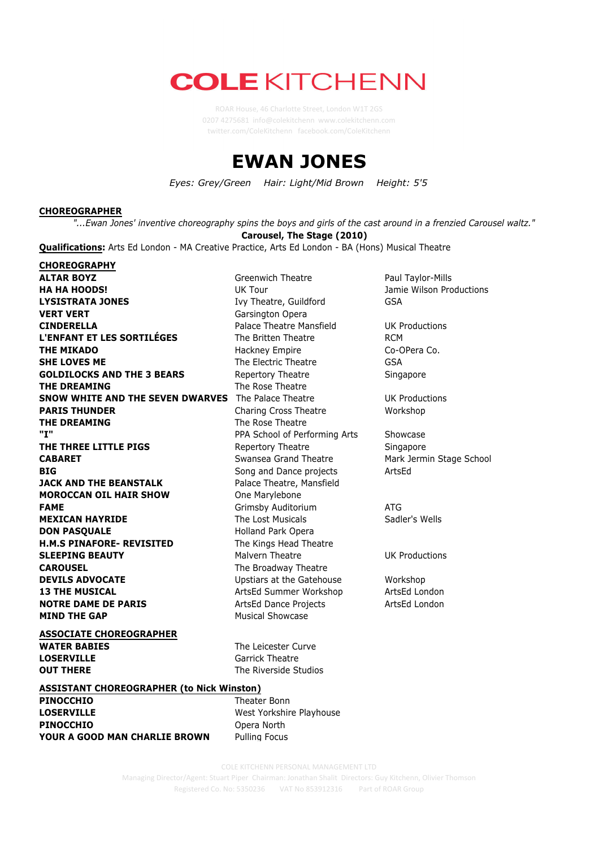# **COLE KITCHENN**

twitter.com/ColeKitchenn facebook.com/ColeKitchenn

## **EWAN JONES**

*Eyes: Grey/Green Hair: Light/Mid Brown Height: 5'5*

### **CHOREOGRAPHER**

"...Ewan Jones' inventive choreography spins the boys and girls of the cast around in a frenzied Carousel waltz." **Carousel, The Stage (2010)**

**Qualifications:** Arts Ed London - MA Creative Practice, Arts Ed London - BA (Hons) Musical Theatre

**CHOREOGRAPHY ALTAR BOYZ Greenwich Theatre Paul Taylor-Mills HA HA HOODS!** THE UK Tour UK Tour Jamie Wilson Productions **LYSISTRATA JONES** Ivy Theatre, Guildford GSA **VERT VERT Garsington Opera CINDERELLA Palace Theatre Mansfield** UK Productions **L'ENFANT ET LES SORTILÉGES** The Britten Theatre RCM **THE MIKADO** Hackney Empire Co-OPera Co. **SHE LOVES ME** GSA **GOLDILOCKS AND THE 3 BEARS** Repertory Theatre Repertory Theatre Singapore **THE DREAMING** The Rose Theatre **SNOW WHITE AND THE SEVEN DWARVES** The Palace Theatre UK Productions **PARIS THUNDER** Charing Cross Theatre Workshop **THE DREAMING** The Rose Theatre **"I"** PPA School of Performing Arts Showcase **THE THREE LITTLE PIGS** Repertory Theatre Singapore **CABARET** Swansea Grand Theatre Mark Jermin Stage School Stage School **BIG** BIG **Solution** Song and Dance projects **ArtsEd JACK AND THE BEANSTALK** Palace Theatre, Mansfield **MOROCCAN OIL HAIR SHOW** One Marylebone **FAME Grimsby Auditorium ATG MEXICAN HAYRIDE** The Lost Musicals Sadler's Wells **DON PASQUALE** Holland Park Opera **H.M.S PINAFORE- REVISITED** The Kings Head Theatre **SLEEPING BEAUTY** Malvern Theatre **Malvern Theatre** UK Productions **CAROUSEL** The Broadway Theatre **DEVILS ADVOCATE** Upstiars at the Gatehouse Workshop **13 THE MUSICAL** ArtsEd Summer Workshop ArtsEd London **NOTRE DAME DE PARIS** ArtsEd Dance Projects ArtsEd London **MIND THE GAP** Musical Showcase

**ASSOCIATE CHOREOGRAPHER WATER BABIES** The Leicester Curve **LOSERVILLE** Garrick Theatre **OUT THERE** The Riverside Studios

## **ASSISTANT CHOREOGRAPHER (to Nick Winston)**

**PINOCCHIO** Theater Bonn **LOSERVILLE** West Yorkshire Playhouse **PINOCCHIO** Opera North **YOUR A GOOD MAN CHARLIE BROWN** Pulling Focus

**COLE KITCHENN PERSONAL MANAGEMENT LTD** 

**Managing Director/Agent: Stuart Piper Chairman: Jonathan Shalit Directors: Guy Kitchenn, Olivier Thomson** Registered Co. No: 5350236 VAT No 853912316 Part of ROAR Group